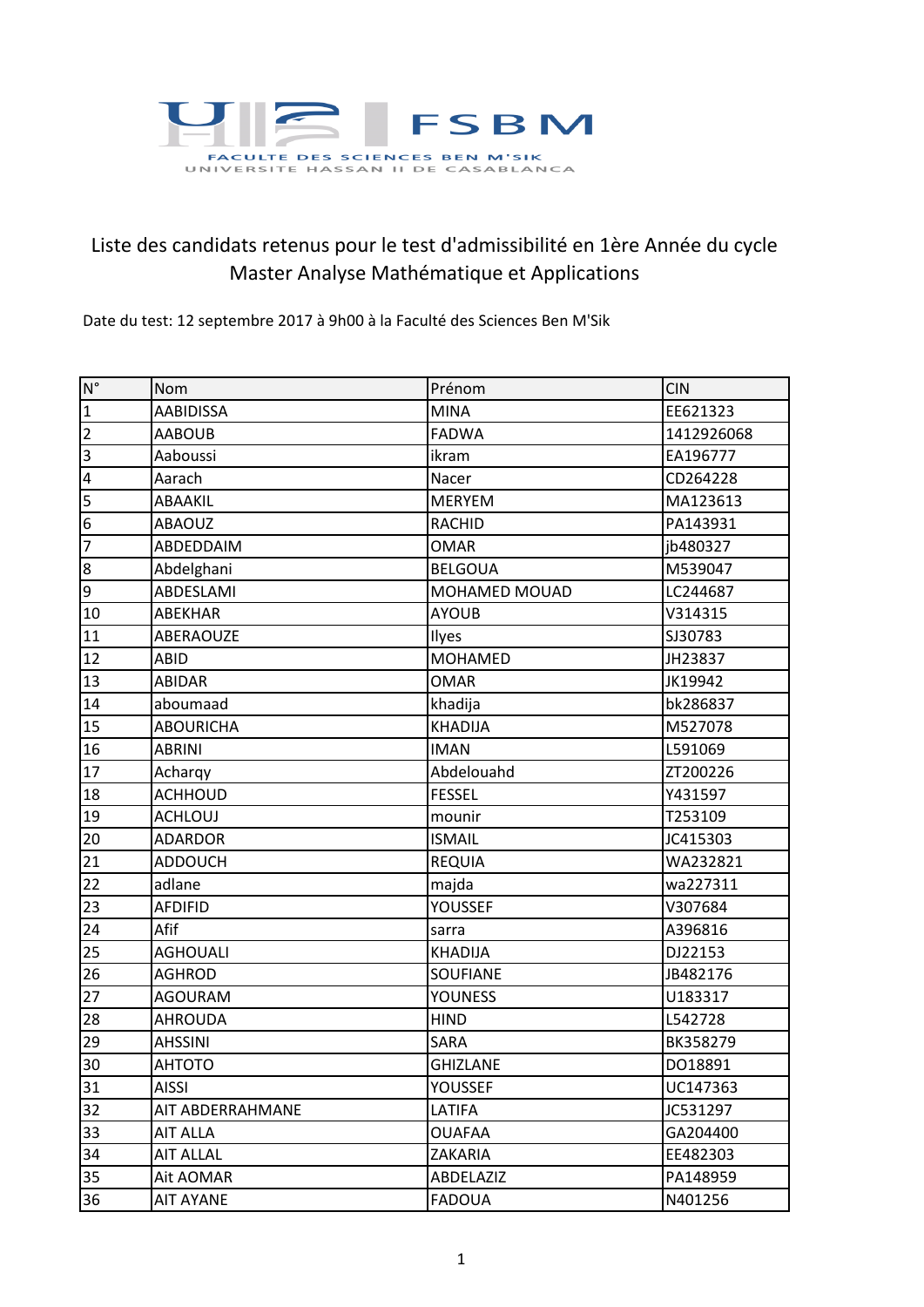

## Liste des candidats retenus pour le test d'admissibilité en 1ère Année du cycle Master Analyse Mathématique et Applications

Date du test: 12 septembre 2017 à 9h00 à la Faculté des Sciences Ben M'Sik

| $N^{\circ}$             | Nom              | Prénom               | <b>CIN</b> |
|-------------------------|------------------|----------------------|------------|
| $\mathbf 1$             | <b>AABIDISSA</b> | <b>MINA</b>          | EE621323   |
| $\overline{2}$          | <b>AABOUB</b>    | <b>FADWA</b>         | 1412926068 |
| 3                       | Aaboussi         | ikram                | EA196777   |
| $\overline{\mathbf{r}}$ | Aarach           | Nacer                | CD264228   |
| 5                       | ABAAKIL          | <b>MERYEM</b>        | MA123613   |
| 6                       | <b>ABAOUZ</b>    | <b>RACHID</b>        | PA143931   |
| $\overline{7}$          | ABDEDDAIM        | <b>OMAR</b>          | jb480327   |
| $\bf 8$                 | Abdelghani       | <b>BELGOUA</b>       | M539047    |
| 9                       | ABDESLAMI        | <b>MOHAMED MOUAD</b> | LC244687   |
| 10                      | ABEKHAR          | <b>AYOUB</b>         | V314315    |
| 11                      | ABERAOUZE        | Ilyes                | SJ30783    |
| 12                      | ABID             | <b>MOHAMED</b>       | JH23837    |
| 13                      | <b>ABIDAR</b>    | <b>OMAR</b>          | JK19942    |
| 14                      | aboumaad         | khadija              | bk286837   |
| 15                      | <b>ABOURICHA</b> | <b>KHADIJA</b>       | M527078    |
| 16                      | <b>ABRINI</b>    | <b>IMAN</b>          | L591069    |
| 17                      | Acharqy          | Abdelouahd           | ZT200226   |
| 18                      | <b>ACHHOUD</b>   | <b>FESSEL</b>        | Y431597    |
| 19                      | <b>ACHLOUJ</b>   | mounir               | T253109    |
| 20                      | <b>ADARDOR</b>   | <b>ISMAIL</b>        | JC415303   |
| 21                      | <b>ADDOUCH</b>   | <b>REQUIA</b>        | WA232821   |
| 22                      | adlane           | majda                | wa227311   |
| 23                      | <b>AFDIFID</b>   | YOUSSEF              | V307684    |
| 24                      | Afif             | sarra                | A396816    |
| 25                      | <b>AGHOUALI</b>  | <b>KHADIJA</b>       | DJ22153    |
| 26                      | <b>AGHROD</b>    | <b>SOUFIANE</b>      | JB482176   |
| 27                      | <b>AGOURAM</b>   | <b>YOUNESS</b>       | U183317    |
| 28                      | <b>AHROUDA</b>   | <b>HIND</b>          | L542728    |
| 29                      | <b>AHSSINI</b>   | <b>SARA</b>          | BK358279   |
| 30                      | <b>AHTOTO</b>    | <b>GHIZLANE</b>      | DO18891    |
| 31                      | <b>AISSI</b>     | YOUSSEF              | UC147363   |
| 32                      | AIT ABDERRAHMANE | LATIFA               | JC531297   |
| 33                      | <b>AIT ALLA</b>  | <b>OUAFAA</b>        | GA204400   |
| 34                      | <b>AIT ALLAL</b> | ZAKARIA              | EE482303   |
| 35                      | Ait AOMAR        | ABDELAZIZ            | PA148959   |
| 36                      | <b>AIT AYANE</b> | <b>FADOUA</b>        | N401256    |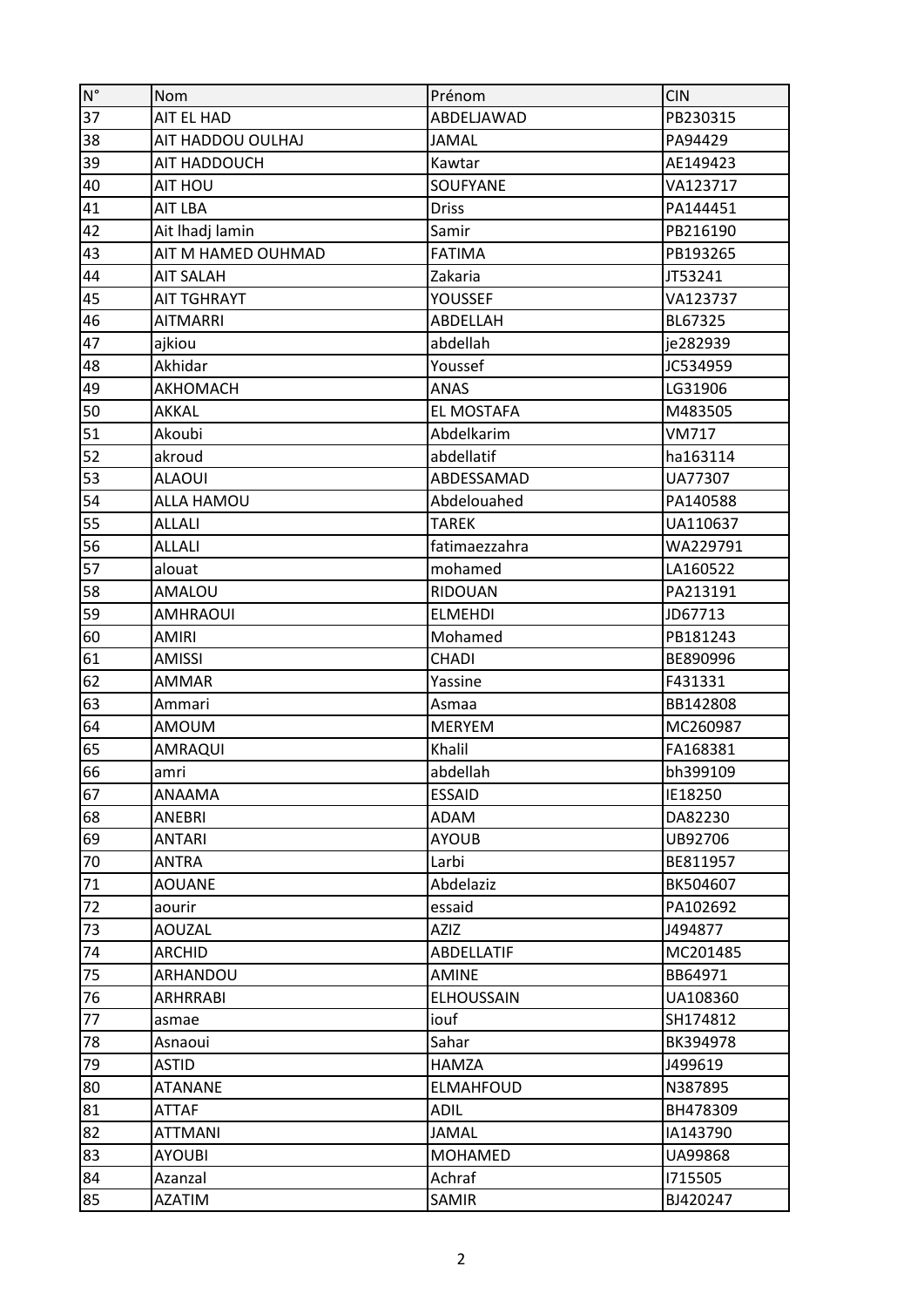| $\mathsf{N}^\circ$ | <b>Nom</b>         | Prénom            | <b>CIN</b>   |
|--------------------|--------------------|-------------------|--------------|
| 37                 | AIT EL HAD         | ABDELJAWAD        | PB230315     |
| 38                 | AIT HADDOU OULHAJ  | <b>JAMAL</b>      | PA94429      |
| 39                 | AIT HADDOUCH       | Kawtar            | AE149423     |
| 40                 | AIT HOU            | SOUFYANE          | VA123717     |
| 41                 | AIT LBA            | <b>Driss</b>      | PA144451     |
| 42                 | Ait Ihadj lamin    | Samir             | PB216190     |
| 43                 | AIT M HAMED OUHMAD | <b>FATIMA</b>     | PB193265     |
| 44                 | <b>AIT SALAH</b>   | Zakaria           | JT53241      |
| 45                 | <b>AIT TGHRAYT</b> | YOUSSEF           | VA123737     |
| 46                 | <b>AITMARRI</b>    | ABDELLAH          | BL67325      |
| 47                 | ajkiou             | abdellah          | je282939     |
| 48                 | Akhidar            | Youssef           | JC534959     |
| 49                 | AKHOMACH           | <b>ANAS</b>       | LG31906      |
| 50                 | AKKAL              | EL MOSTAFA        | M483505      |
| 51                 | Akoubi             | Abdelkarim        | <b>VM717</b> |
| 52                 | akroud             | abdellatif        | ha163114     |
| 53                 | <b>ALAOUI</b>      | ABDESSAMAD        | UA77307      |
| 54                 | <b>ALLA HAMOU</b>  | Abdelouahed       | PA140588     |
| 55                 | <b>ALLALI</b>      | <b>TAREK</b>      | UA110637     |
| 56                 | <b>ALLALI</b>      | fatimaezzahra     | WA229791     |
| 57                 | alouat             | mohamed           | LA160522     |
| 58                 | <b>AMALOU</b>      | RIDOUAN           | PA213191     |
| 59                 | <b>AMHRAOUI</b>    | <b>ELMEHDI</b>    | JD67713      |
| 60                 | <b>AMIRI</b>       | Mohamed           | PB181243     |
| 61                 | <b>AMISSI</b>      | <b>CHADI</b>      | BE890996     |
| 62                 | <b>AMMAR</b>       | Yassine           | F431331      |
| 63                 | Ammari             | Asmaa             | BB142808     |
| 64                 | <b>AMOUM</b>       | <b>MERYEM</b>     | MC260987     |
| 65                 | AMRAQUI            | Khalil            | FA168381     |
| 66                 | amri               | abdellah          | bh399109     |
| 67                 | ANAAMA             | <b>ESSAID</b>     | IE18250      |
| 68                 | ANEBRI             | ADAM              | DA82230      |
| 69                 | <b>ANTARI</b>      | <b>AYOUB</b>      | UB92706      |
| 70                 | <b>ANTRA</b>       | Larbi             | BE811957     |
| 71                 | <b>AOUANE</b>      | Abdelaziz         | BK504607     |
| 72                 | aourir             | essaid            | PA102692     |
| 73                 | <b>AOUZAL</b>      | <b>AZIZ</b>       | J494877      |
| 74                 | <b>ARCHID</b>      | ABDELLATIF        | MC201485     |
| 75                 | ARHANDOU           | <b>AMINE</b>      | BB64971      |
| 76                 | ARHRRABI           | <b>ELHOUSSAIN</b> | UA108360     |
| 77                 | asmae              | iouf              | SH174812     |
| 78                 | Asnaoui            | Sahar             | BK394978     |
| 79                 | <b>ASTID</b>       | <b>HAMZA</b>      | J499619      |
| 80                 | <b>ATANANE</b>     | <b>ELMAHFOUD</b>  | N387895      |
| 81                 | <b>ATTAF</b>       | <b>ADIL</b>       | BH478309     |
| 82                 | <b>ATTMANI</b>     | <b>JAMAL</b>      | IA143790     |
| 83                 | AYOUBI             | <b>MOHAMED</b>    | UA99868      |
| 84                 | Azanzal            | Achraf            | 1715505      |
| 85                 | <b>AZATIM</b>      | SAMIR             | BJ420247     |
|                    |                    |                   |              |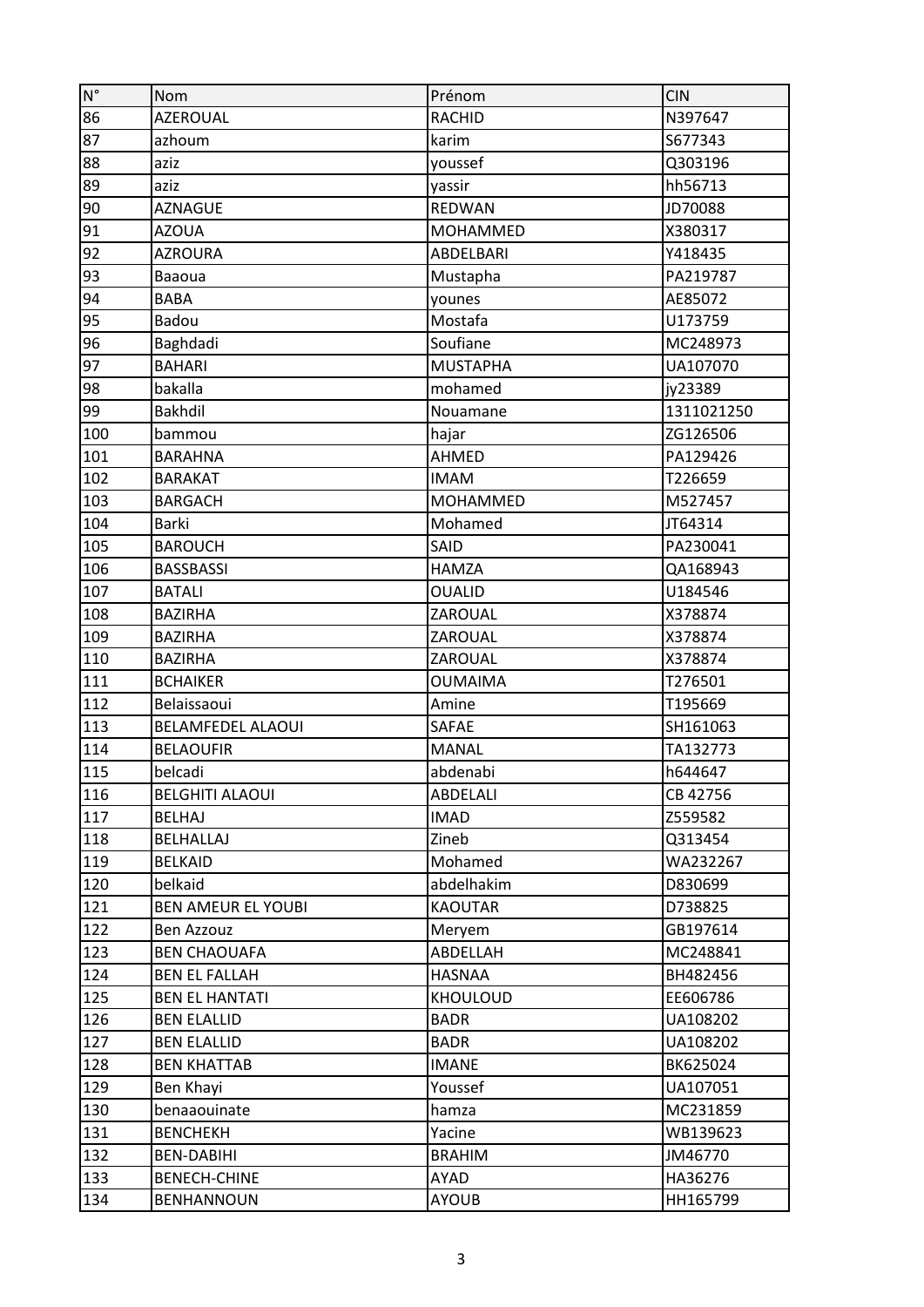| $\mathsf{N}^\circ$ | Nom                       | Prénom           | <b>CIN</b> |
|--------------------|---------------------------|------------------|------------|
| 86                 | <b>AZEROUAL</b>           | <b>RACHID</b>    | N397647    |
| 87                 | azhoum                    | karim            | S677343    |
| 88                 | aziz                      | youssef          | Q303196    |
| 89                 | aziz                      | yassir           | hh56713    |
| 90                 | <b>AZNAGUE</b>            | <b>REDWAN</b>    | JD70088    |
| 91                 | <b>AZOUA</b>              | <b>MOHAMMED</b>  | X380317    |
| 92                 | <b>AZROURA</b>            | <b>ABDELBARI</b> | Y418435    |
| 93                 | Baaoua                    | Mustapha         | PA219787   |
| 94                 | <b>BABA</b>               | younes           | AE85072    |
| 95                 | Badou                     | Mostafa          | U173759    |
| 96                 | Baghdadi                  | Soufiane         | MC248973   |
| 97                 | <b>BAHARI</b>             | <b>MUSTAPHA</b>  | UA107070   |
| 98                 | bakalla                   | mohamed          | jy23389    |
| 99                 | <b>Bakhdil</b>            | Nouamane         | 1311021250 |
| 100                | bammou                    | hajar            | ZG126506   |
| 101                | <b>BARAHNA</b>            | AHMED            | PA129426   |
| 102                | <b>BARAKAT</b>            | <b>IMAM</b>      | T226659    |
| 103                | <b>BARGACH</b>            | <b>MOHAMMED</b>  | M527457    |
| 104                | Barki                     | Mohamed          | JT64314    |
| 105                | <b>BAROUCH</b>            | SAID             | PA230041   |
| 106                | <b>BASSBASSI</b>          | <b>HAMZA</b>     | QA168943   |
| 107                | <b>BATALI</b>             | <b>OUALID</b>    | U184546    |
| 108                | <b>BAZIRHA</b>            | ZAROUAL          | X378874    |
| 109                | <b>BAZIRHA</b>            | ZAROUAL          | X378874    |
| 110                | <b>BAZIRHA</b>            | ZAROUAL          | X378874    |
| 111                | <b>BCHAIKER</b>           | <b>OUMAIMA</b>   | T276501    |
| 112                | Belaissaoui               | Amine            | T195669    |
| 113                | <b>BELAMFEDEL ALAOUI</b>  | SAFAE            | SH161063   |
| 114                | <b>BELAOUFIR</b>          | <b>MANAL</b>     | TA132773   |
| 115                | belcadi                   | abdenabi         | h644647    |
| 116                | <b>BELGHITI ALAOUI</b>    | <b>ABDELALI</b>  | CB 42756   |
| 117                | <b>BELHAJ</b>             | <b>IMAD</b>      | Z559582    |
| 118                | BELHALLAJ                 | Zineb            | Q313454    |
| 119                | <b>BELKAID</b>            | Mohamed          | WA232267   |
| 120                | belkaid                   | abdelhakim       | D830699    |
| 121                | <b>BEN AMEUR EL YOUBI</b> | <b>KAOUTAR</b>   | D738825    |
| 122                | Ben Azzouz                | Meryem           | GB197614   |
| 123                | <b>BEN CHAOUAFA</b>       | ABDELLAH         | MC248841   |
| 124                | <b>BEN EL FALLAH</b>      | <b>HASNAA</b>    | BH482456   |
| 125                | <b>BEN EL HANTATI</b>     | <b>KHOULOUD</b>  | EE606786   |
| 126                | <b>BEN ELALLID</b>        | <b>BADR</b>      | UA108202   |
| 127                | <b>BEN ELALLID</b>        | <b>BADR</b>      | UA108202   |
| 128                | <b>BEN KHATTAB</b>        | <b>IMANE</b>     | BK625024   |
| 129                | Ben Khayi                 | Youssef          | UA107051   |
| 130                | benaaouinate              | hamza            | MC231859   |
| 131                | <b>BENCHEKH</b>           | Yacine           | WB139623   |
| 132                | <b>BEN-DABIHI</b>         | <b>BRAHIM</b>    | JM46770    |
| 133                | <b>BENECH-CHINE</b>       | AYAD             | HA36276    |
| 134                | <b>BENHANNOUN</b>         | <b>AYOUB</b>     | HH165799   |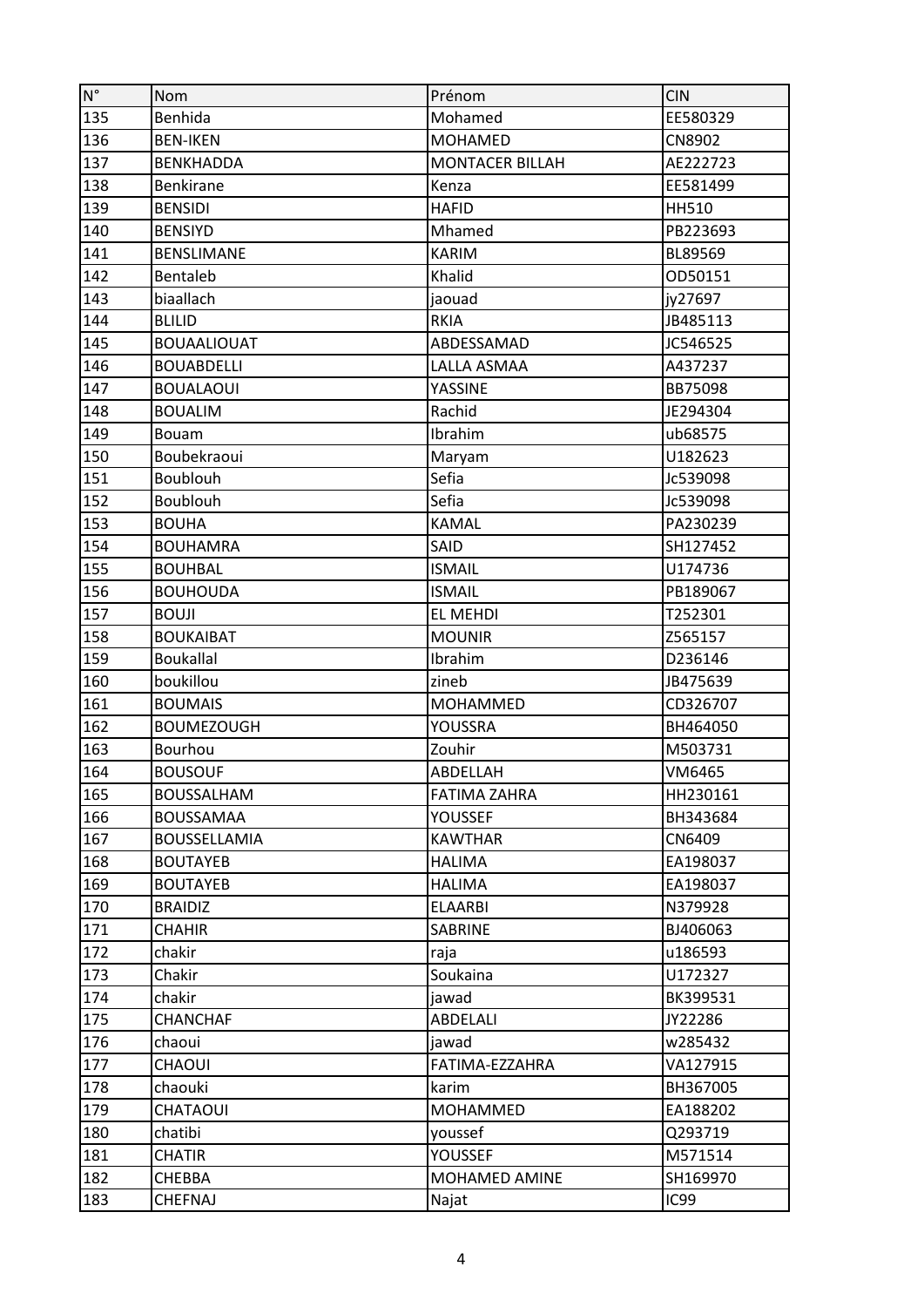| $\mathsf{N}^\circ$ | Nom                | Prénom                 | <b>CIN</b>    |
|--------------------|--------------------|------------------------|---------------|
| 135                | Benhida            | Mohamed                | EE580329      |
| 136                | <b>BEN-IKEN</b>    | <b>MOHAMED</b>         | <b>CN8902</b> |
| 137                | <b>BENKHADDA</b>   | <b>MONTACER BILLAH</b> | AE222723      |
| 138                | <b>Benkirane</b>   | Kenza                  | EE581499      |
| 139                | <b>BENSIDI</b>     | <b>HAFID</b>           | <b>HH510</b>  |
| 140                | <b>BENSIYD</b>     | Mhamed                 | PB223693      |
| 141                | <b>BENSLIMANE</b>  | <b>KARIM</b>           | BL89569       |
| 142                | Bentaleb           | Khalid                 | OD50151       |
| 143                | biaallach          | jaouad                 | jy27697       |
| 144                | <b>BLILID</b>      | <b>RKIA</b>            | JB485113      |
| 145                | <b>BOUAALIOUAT</b> | ABDESSAMAD             | JC546525      |
| 146                | <b>BOUABDELLI</b>  | LALLA ASMAA            | A437237       |
| 147                | <b>BOUALAOUI</b>   | YASSINE                | BB75098       |
| 148                | <b>BOUALIM</b>     | Rachid                 | JE294304      |
| 149                | Bouam              | Ibrahim                | ub68575       |
| 150                | Boubekraoui        | Maryam                 | U182623       |
| 151                | Boublouh           | Sefia                  | Jc539098      |
| 152                | Boublouh           | Sefia                  | Jc539098      |
| 153                | <b>BOUHA</b>       | <b>KAMAL</b>           | PA230239      |
| 154                | <b>BOUHAMRA</b>    | SAID                   | SH127452      |
| 155                | <b>BOUHBAL</b>     | <b>ISMAIL</b>          | U174736       |
| 156                | <b>BOUHOUDA</b>    | <b>ISMAIL</b>          | PB189067      |
| 157                | <b>BOUJI</b>       | EL MEHDI               | T252301       |
| 158                | <b>BOUKAIBAT</b>   | <b>MOUNIR</b>          | Z565157       |
| 159                | <b>Boukallal</b>   | Ibrahim                | D236146       |
| 160                | boukillou          | zineb                  | JB475639      |
| 161                | <b>BOUMAIS</b>     | <b>MOHAMMED</b>        | CD326707      |
| 162                | <b>BOUMEZOUGH</b>  | YOUSSRA                | BH464050      |
| 163                | Bourhou            | Zouhir                 | M503731       |
| 164                | <b>BOUSOUF</b>     | ABDELLAH               | VM6465        |
| 165                | <b>BOUSSALHAM</b>  | <b>FATIMA ZAHRA</b>    | HH230161      |
| 166                | <b>BOUSSAMAA</b>   | <b>YOUSSEF</b>         | BH343684      |
| 167                | BOUSSELLAMIA       | <b>KAWTHAR</b>         | CN6409        |
| 168                | <b>BOUTAYEB</b>    | <b>HALIMA</b>          | EA198037      |
| 169                | <b>BOUTAYEB</b>    | <b>HALIMA</b>          | EA198037      |
| 170                | <b>BRAIDIZ</b>     | <b>ELAARBI</b>         | N379928       |
| 171                | <b>CHAHIR</b>      | <b>SABRINE</b>         | BJ406063      |
| 172                | chakir             | raja                   | u186593       |
| 173                | Chakir             | Soukaina               | U172327       |
| 174                | chakir             | jawad                  | BK399531      |
| 175                | <b>CHANCHAF</b>    | <b>ABDELALI</b>        | JY22286       |
| 176                | chaoui             | jawad                  | w285432       |
| 177                | <b>CHAOUI</b>      | FATIMA-EZZAHRA         | VA127915      |
| 178                | chaouki            | karim                  | BH367005      |
| 179                | CHATAOUI           | MOHAMMED               | EA188202      |
| 180                | chatibi            | youssef                | Q293719       |
| 181                | <b>CHATIR</b>      | <b>YOUSSEF</b>         | M571514       |
| 182                | <b>CHEBBA</b>      | MOHAMED AMINE          | SH169970      |
| 183                | <b>CHEFNAJ</b>     | Najat                  | <b>IC99</b>   |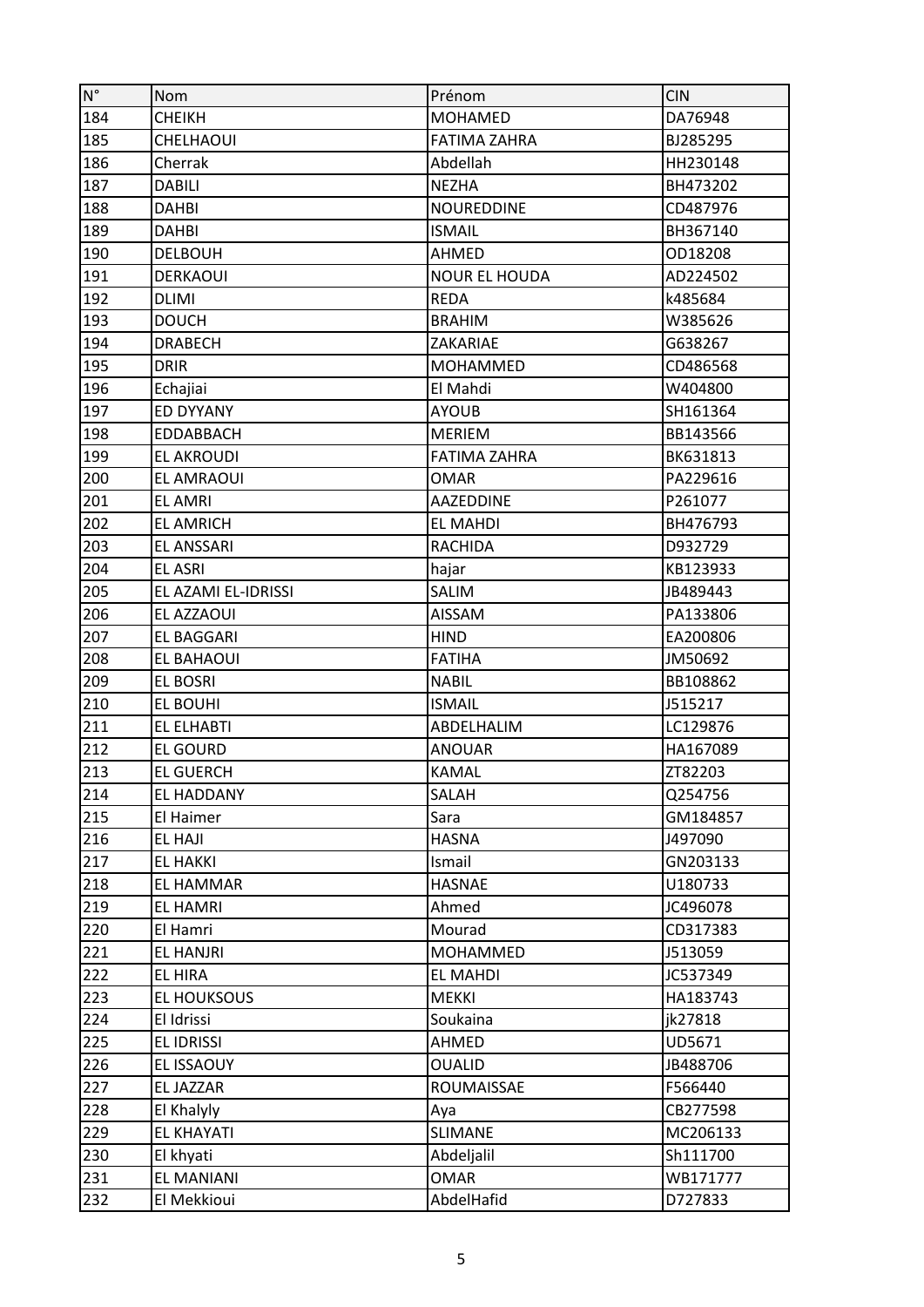| $\mathsf{N}^\circ$ | <b>Nom</b>          | Prénom               | <b>CIN</b> |
|--------------------|---------------------|----------------------|------------|
| 184                | <b>CHEIKH</b>       | <b>MOHAMED</b>       | DA76948    |
| 185                | <b>CHELHAOUI</b>    | <b>FATIMA ZAHRA</b>  | BJ285295   |
| 186                | Cherrak             | Abdellah             | HH230148   |
| 187                | DABILI              | <b>NEZHA</b>         | BH473202   |
| 188                | <b>DAHBI</b>        | <b>NOUREDDINE</b>    | CD487976   |
| 189                | DAHBI               | <b>ISMAIL</b>        | BH367140   |
| 190                | <b>DELBOUH</b>      | AHMED                | OD18208    |
| 191                | <b>DERKAOUI</b>     | <b>NOUR EL HOUDA</b> | AD224502   |
| 192                | <b>DLIMI</b>        | <b>REDA</b>          | k485684    |
| 193                | <b>DOUCH</b>        | <b>BRAHIM</b>        | W385626    |
| 194                | <b>DRABECH</b>      | ZAKARIAE             | G638267    |
| 195                | <b>DRIR</b>         | <b>MOHAMMED</b>      | CD486568   |
| 196                | Echajiai            | El Mahdi             | W404800    |
| 197                | ED DYYANY           | <b>AYOUB</b>         | SH161364   |
| 198                | <b>EDDABBACH</b>    | <b>MERIEM</b>        | BB143566   |
| 199                | <b>EL AKROUDI</b>   | <b>FATIMA ZAHRA</b>  | BK631813   |
| 200                | <b>EL AMRAOUI</b>   | <b>OMAR</b>          | PA229616   |
| 201                | <b>EL AMRI</b>      | <b>AAZEDDINE</b>     | P261077    |
| 202                | <b>EL AMRICH</b>    | <b>EL MAHDI</b>      | BH476793   |
| 203                | <b>EL ANSSARI</b>   | <b>RACHIDA</b>       | D932729    |
| 204                | <b>EL ASRI</b>      | hajar                | KB123933   |
| 205                | EL AZAMI EL-IDRISSI | <b>SALIM</b>         | JB489443   |
| 206                | EL AZZAOUI          | <b>AISSAM</b>        | PA133806   |
| 207                | <b>EL BAGGARI</b>   | <b>HIND</b>          | EA200806   |
| 208                | EL BAHAOUI          | <b>FATIHA</b>        | JM50692    |
| 209                | EL BOSRI            | <b>NABIL</b>         | BB108862   |
| 210                | <b>EL BOUHI</b>     | <b>ISMAIL</b>        | J515217    |
| 211                | <b>EL ELHABTI</b>   | ABDELHALIM           | LC129876   |
| 212                | <b>EL GOURD</b>     | <b>ANOUAR</b>        | HA167089   |
| 213                | <b>EL GUERCH</b>    | <b>KAMAL</b>         | ZT82203    |
| 214                | EL HADDANY          | SALAH                | Q254756    |
| 215                | El Haimer           | Sara                 | GM184857   |
| 216                | <b>EL HAJI</b>      | <b>HASNA</b>         | J497090    |
| 217                | <b>EL HAKKI</b>     | Ismail               | GN203133   |
| 218                | EL HAMMAR           | <b>HASNAE</b>        | U180733    |
| 219                | <b>EL HAMRI</b>     | Ahmed                | JC496078   |
| 220                | El Hamri            | Mourad               | CD317383   |
| 221                | EL HANJRI           | MOHAMMED             | J513059    |
| 222                | EL HIRA             | <b>EL MAHDI</b>      | JC537349   |
| 223                | <b>EL HOUKSOUS</b>  | <b>MEKKI</b>         | HA183743   |
| 224                | El Idrissi          | Soukaina             | jk27818    |
| 225                | <b>EL IDRISSI</b>   | AHMED                | UD5671     |
| 226                | EL ISSAOUY          | <b>OUALID</b>        | JB488706   |
| 227                | EL JAZZAR           | ROUMAISSAE           | F566440    |
| 228                | El Khalyly          | Aya                  | CB277598   |
| 229                | <b>EL KHAYATI</b>   | <b>SLIMANE</b>       | MC206133   |
| 230                | El khyati           | Abdeljalil           | Sh111700   |
| 231                | EL MANIANI          | <b>OMAR</b>          | WB171777   |
| 232                | El Mekkioui         | AbdelHafid           | D727833    |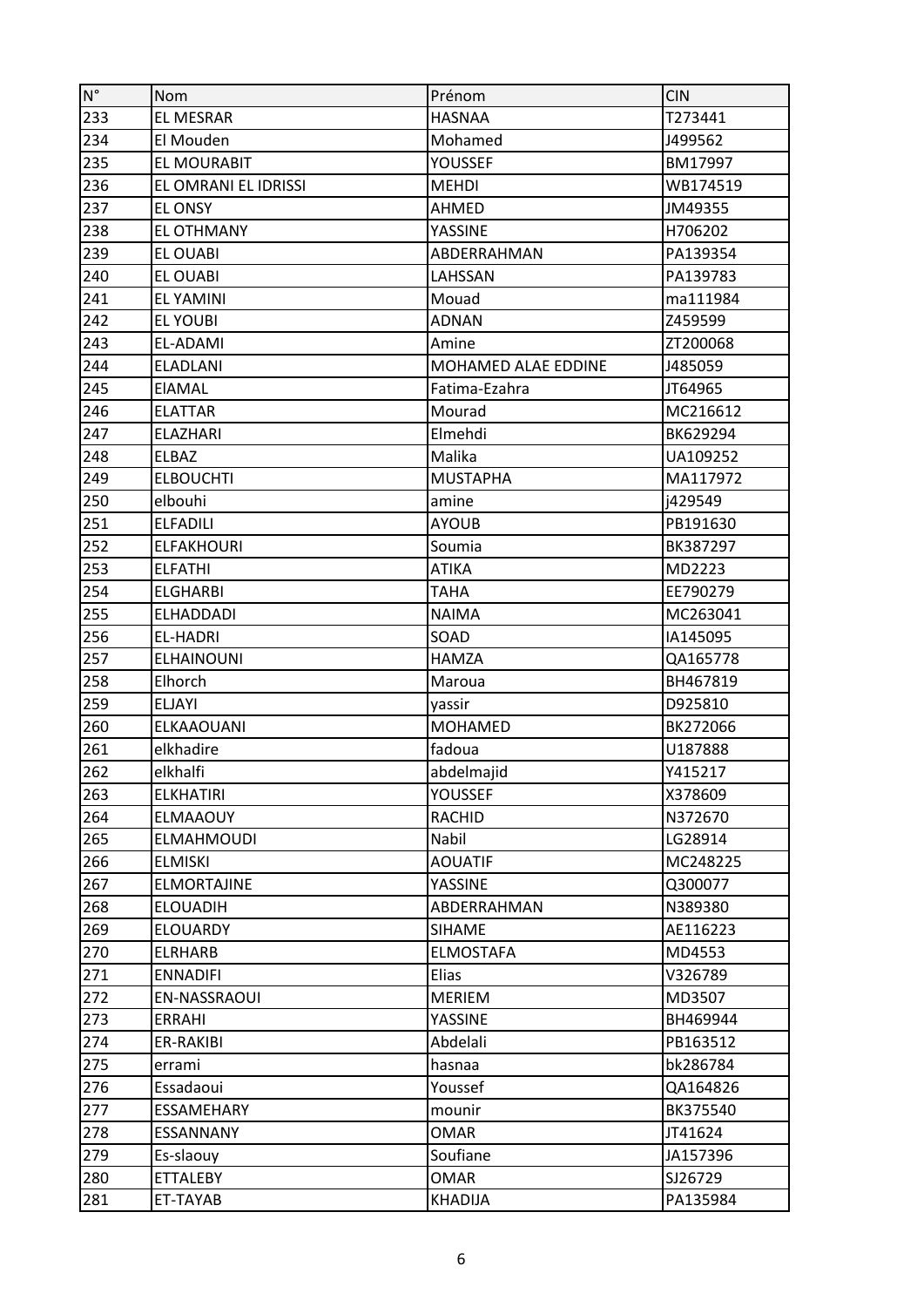| $\mathsf{N}^\circ$ | <b>Nom</b>           | Prénom              | <b>CIN</b> |
|--------------------|----------------------|---------------------|------------|
| 233                | <b>EL MESRAR</b>     | <b>HASNAA</b>       | T273441    |
| 234                | El Mouden            | Mohamed             | J499562    |
| 235                | EL MOURABIT          | <b>YOUSSEF</b>      | BM17997    |
| 236                | EL OMRANI EL IDRISSI | <b>MEHDI</b>        | WB174519   |
| 237                | EL ONSY              | AHMED               | JM49355    |
| 238                | <b>EL OTHMANY</b>    | YASSINE             | H706202    |
| 239                | <b>EL OUABI</b>      | ABDERRAHMAN         | PA139354   |
| 240                | <b>EL OUABI</b>      | LAHSSAN             | PA139783   |
| 241                | <b>EL YAMINI</b>     | Mouad               | ma111984   |
| 242                | <b>EL YOUBI</b>      | <b>ADNAN</b>        | Z459599    |
| 243                | EL-ADAMI             | Amine               | ZT200068   |
| 244                | <b>ELADLANI</b>      | MOHAMED ALAE EDDINE | J485059    |
| 245                | <b>EIAMAL</b>        | Fatima-Ezahra       | JT64965    |
| 246                | <b>ELATTAR</b>       | Mourad              | MC216612   |
| 247                | <b>ELAZHARI</b>      | Elmehdi             | BK629294   |
| 248                | ELBAZ                | Malika              | UA109252   |
| 249                | <b>ELBOUCHTI</b>     | <b>MUSTAPHA</b>     | MA117972   |
| 250                | elbouhi              | amine               | i429549    |
| 251                | <b>ELFADILI</b>      | <b>AYOUB</b>        | PB191630   |
| 252                | <b>ELFAKHOURI</b>    | Soumia              | BK387297   |
| 253                | <b>ELFATHI</b>       | <b>ATIKA</b>        | MD2223     |
| 254                | <b>ELGHARBI</b>      | <b>TAHA</b>         | EE790279   |
| 255                | <b>ELHADDADI</b>     | <b>NAIMA</b>        | MC263041   |
| 256                | <b>EL-HADRI</b>      | SOAD                | IA145095   |
| 257                | <b>ELHAINOUNI</b>    | <b>HAMZA</b>        | QA165778   |
| 258                | Elhorch              | Maroua              | BH467819   |
| 259                | <b>ELJAYI</b>        | yassir              | D925810    |
| 260                | ELKAAOUANI           | <b>MOHAMED</b>      | BK272066   |
| 261                | elkhadire            | fadoua              | U187888    |
| 262                | elkhalfi             | abdelmajid          | Y415217    |
| 263                | <b>ELKHATIRI</b>     | YOUSSEF             | X378609    |
| 264                | <b>ELMAAOUY</b>      | <b>RACHID</b>       | N372670    |
| 265                | ELMAHMOUDI           | Nabil               | LG28914    |
| 266                | <b>ELMISKI</b>       | <b>AOUATIF</b>      | MC248225   |
| 267                | <b>ELMORTAJINE</b>   | <b>YASSINE</b>      | Q300077    |
| 268                | <b>ELOUADIH</b>      | ABDERRAHMAN         | N389380    |
| 269                | <b>ELOUARDY</b>      | <b>SIHAME</b>       | AE116223   |
| 270                | <b>ELRHARB</b>       | <b>ELMOSTAFA</b>    | MD4553     |
| 271                | <b>ENNADIFI</b>      | Elias               | V326789    |
| 272                | EN-NASSRAOUI         | <b>MERIEM</b>       | MD3507     |
| 273                | ERRAHI               | YASSINE             | BH469944   |
| 274                | ER-RAKIBI            | Abdelali            | PB163512   |
| 275                | errami               | hasnaa              | bk286784   |
| 276                | Essadaoui            | Youssef             | QA164826   |
| 277                | ESSAMEHARY           | mounir              | BK375540   |
| 278                | ESSANNANY            | <b>OMAR</b>         | JT41624    |
| 279                | Es-slaouy            | Soufiane            | JA157396   |
| 280                | <b>ETTALEBY</b>      | <b>OMAR</b>         | SJ26729    |
| 281                | ET-TAYAB             | <b>KHADIJA</b>      | PA135984   |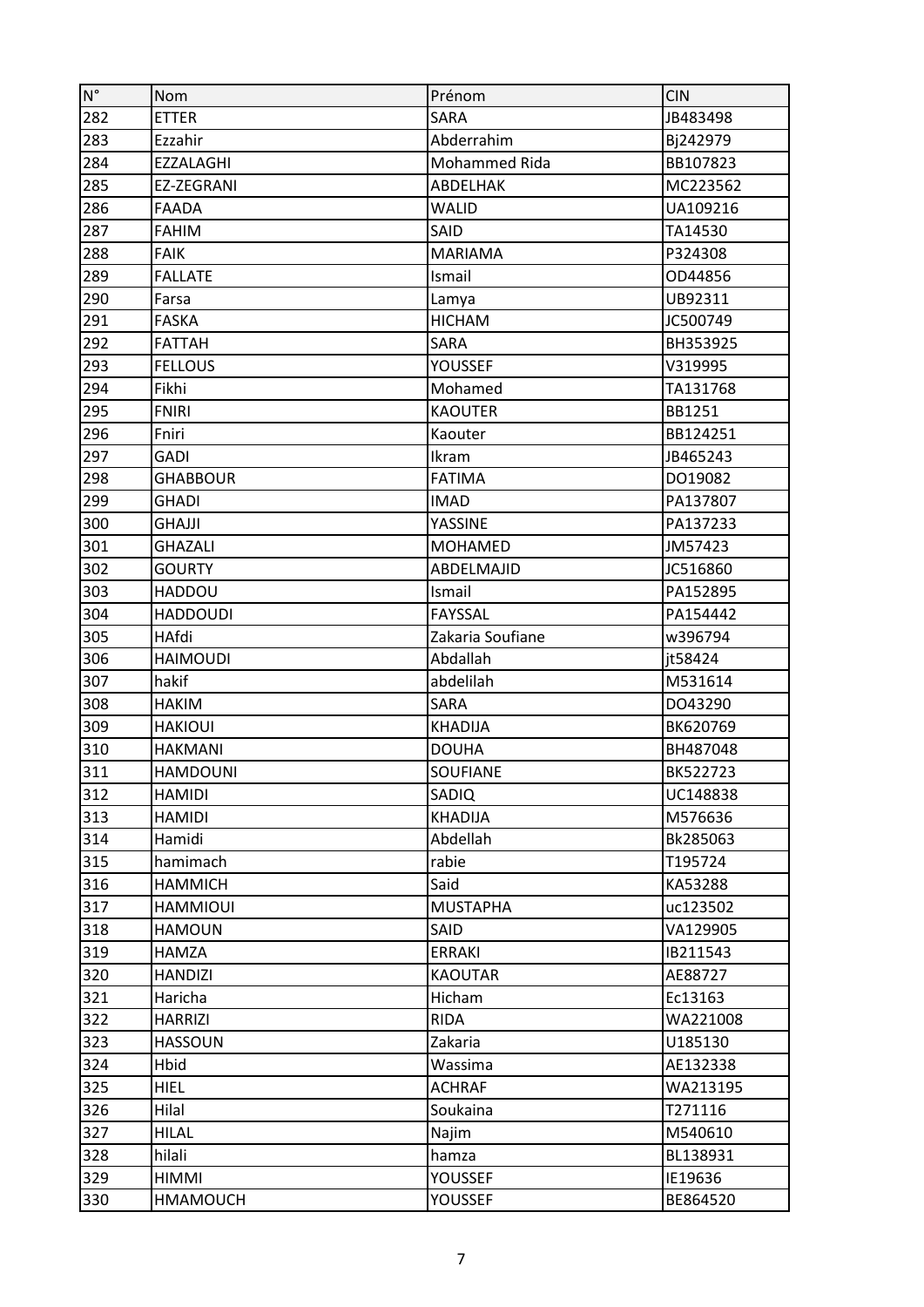| $\mathsf{N}^\circ$ | Nom              | Prénom           | <b>CIN</b> |
|--------------------|------------------|------------------|------------|
| 282                | <b>ETTER</b>     | <b>SARA</b>      | JB483498   |
| 283                | Ezzahir          | Abderrahim       | Bj242979   |
| 284                | <b>EZZALAGHI</b> | Mohammed Rida    | BB107823   |
| 285                | EZ-ZEGRANI       | ABDELHAK         | MC223562   |
| 286                | <b>FAADA</b>     | <b>WALID</b>     | UA109216   |
| 287                | <b>FAHIM</b>     | SAID             | TA14530    |
| 288                | <b>FAIK</b>      | <b>MARIAMA</b>   | P324308    |
| 289                | <b>FALLATE</b>   | Ismail           | OD44856    |
| 290                | Farsa            | Lamya            | UB92311    |
| 291                | <b>FASKA</b>     | <b>HICHAM</b>    | JC500749   |
| 292                | <b>FATTAH</b>    | <b>SARA</b>      | BH353925   |
| 293                | <b>FELLOUS</b>   | <b>YOUSSEF</b>   | V319995    |
| 294                | Fikhi            | Mohamed          | TA131768   |
| 295                | <b>FNIRI</b>     | <b>KAOUTER</b>   | BB1251     |
| 296                | Fniri            | Kaouter          | BB124251   |
| 297                | <b>GADI</b>      | Ikram            | JB465243   |
| 298                | <b>GHABBOUR</b>  | <b>FATIMA</b>    | DO19082    |
| 299                | <b>GHADI</b>     | <b>IMAD</b>      | PA137807   |
| 300                | GHAJJI           | YASSINE          | PA137233   |
| 301                | <b>GHAZALI</b>   | <b>MOHAMED</b>   | JM57423    |
| 302                | <b>GOURTY</b>    | ABDELMAJID       | JC516860   |
| 303                | HADDOU           | Ismail           | PA152895   |
| 304                | <b>HADDOUDI</b>  | <b>FAYSSAL</b>   | PA154442   |
| 305                | HAfdi            | Zakaria Soufiane | w396794    |
| 306                | <b>HAIMOUDI</b>  | Abdallah         | it58424    |
| 307                | hakif            | abdelilah        | M531614    |
| 308                | <b>HAKIM</b>     | <b>SARA</b>      | DO43290    |
| 309                | <b>HAKIOUI</b>   | <b>KHADIJA</b>   | BK620769   |
| 310                | <b>HAKMANI</b>   | <b>DOUHA</b>     | BH487048   |
| 311                | <b>HAMDOUNI</b>  | <b>SOUFIANE</b>  | BK522723   |
| 312                | <b>HAMIDI</b>    | SADIQ            | UC148838   |
| 313                | <b>HAMIDI</b>    | <b>KHADIJA</b>   | M576636    |
| 314                | Hamidi           | Abdellah         | Bk285063   |
| 315                | hamimach         | rabie            | T195724    |
| 316                | <b>HAMMICH</b>   | Said             | KA53288    |
| 317                | <b>HAMMIOUI</b>  | <b>MUSTAPHA</b>  | uc123502   |
| 318                | HAMOUN           | SAID             | VA129905   |
| 319                | <b>HAMZA</b>     | <b>ERRAKI</b>    | IB211543   |
| 320                | <b>HANDIZI</b>   | <b>KAOUTAR</b>   | AE88727    |
| 321                | Haricha          | Hicham           | Ec13163    |
| 322                | <b>HARRIZI</b>   | <b>RIDA</b>      | WA221008   |
| 323                | <b>HASSOUN</b>   | Zakaria          | U185130    |
| 324                | Hbid             | Wassima          | AE132338   |
| 325                | <b>HIEL</b>      | <b>ACHRAF</b>    | WA213195   |
| 326                | Hilal            | Soukaina         | T271116    |
| 327                | <b>HILAL</b>     | Najim            | M540610    |
| 328                | hilali           | hamza            | BL138931   |
| 329                | HIMMI            | <b>YOUSSEF</b>   | IE19636    |
| 330                | <b>HMAMOUCH</b>  | <b>YOUSSEF</b>   | BE864520   |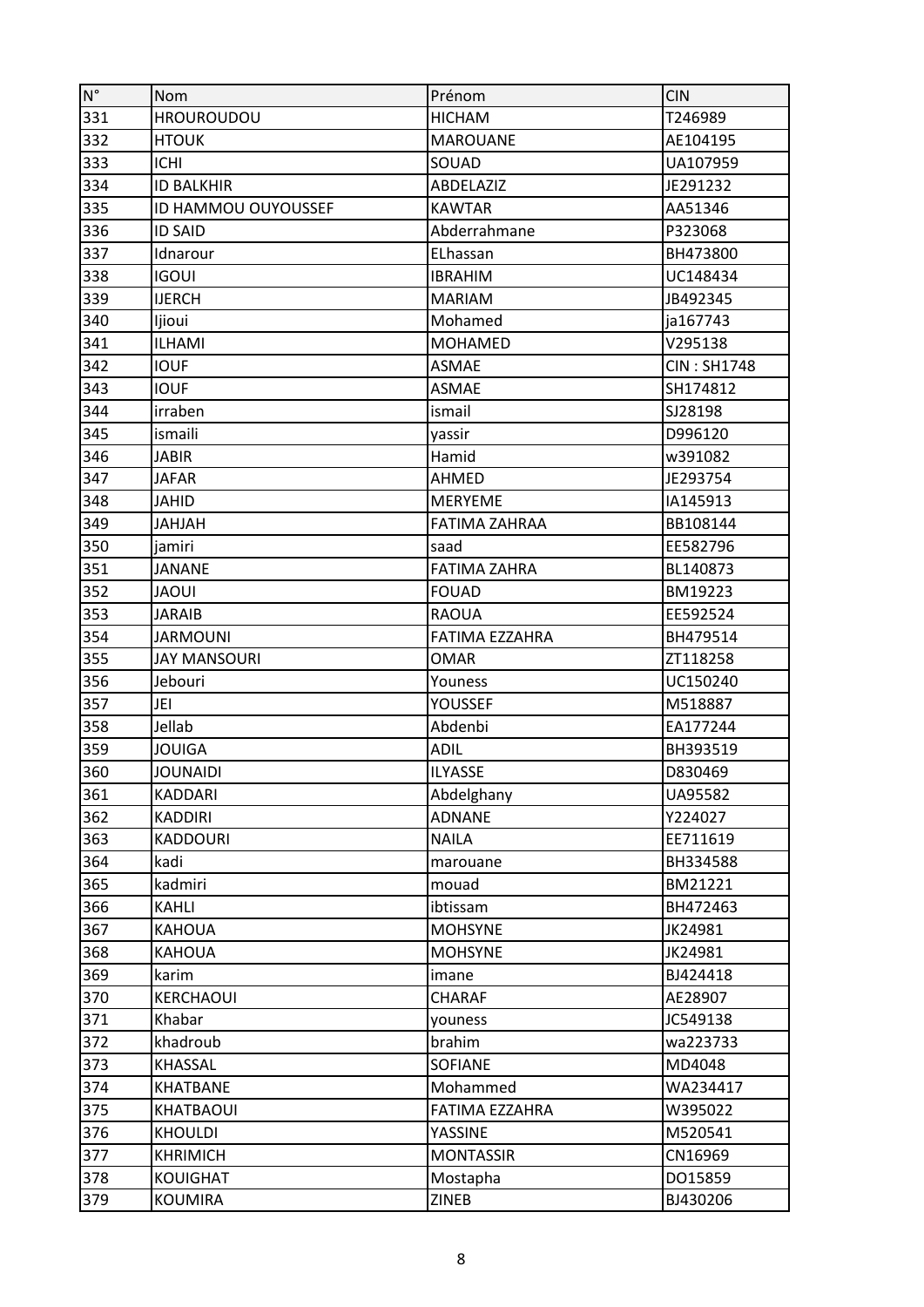| $N^{\circ}$ | <b>Nom</b>          | Prénom                | <b>CIN</b>         |
|-------------|---------------------|-----------------------|--------------------|
| 331         | <b>HROUROUDOU</b>   | <b>HICHAM</b>         | T246989            |
| 332         | <b>HTOUK</b>        | <b>MAROUANE</b>       | AE104195           |
| 333         | <b>ICHI</b>         | SOUAD                 | UA107959           |
| 334         | <b>ID BALKHIR</b>   | ABDELAZIZ             | JE291232           |
| 335         | ID HAMMOU OUYOUSSEF | <b>KAWTAR</b>         | AA51346            |
| 336         | <b>ID SAID</b>      | Abderrahmane          | P323068            |
| 337         | Idnarour            | ELhassan              | BH473800           |
| 338         | <b>IGOUI</b>        | <b>IBRAHIM</b>        | UC148434           |
| 339         | <b>IJERCH</b>       | <b>MARIAM</b>         | JB492345           |
| 340         | ljioui              | Mohamed               | ja167743           |
| 341         | <b>ILHAMI</b>       | <b>MOHAMED</b>        | V295138            |
| 342         | <b>IOUF</b>         | <b>ASMAE</b>          | <b>CIN: SH1748</b> |
| 343         | <b>IOUF</b>         | <b>ASMAE</b>          | SH174812           |
| 344         | irraben             | ismail                | SJ28198            |
| 345         | ismaili             | yassir                | D996120            |
| 346         | <b>JABIR</b>        | Hamid                 | w391082            |
| 347         | <b>JAFAR</b>        | <b>AHMED</b>          | JE293754           |
| 348         | <b>JAHID</b>        | <b>MERYEME</b>        | IA145913           |
| 349         | HALHAL              | <b>FATIMA ZAHRAA</b>  | BB108144           |
| 350         | jamiri              | saad                  | EE582796           |
| 351         | JANANE              | <b>FATIMA ZAHRA</b>   | BL140873           |
| 352         | <b>IUOAL</b>        | <b>FOUAD</b>          | BM19223            |
| 353         | <b>JARAIB</b>       | <b>RAOUA</b>          | EE592524           |
| 354         | <b>JARMOUNI</b>     | <b>FATIMA EZZAHRA</b> | BH479514           |
| 355         | <b>JAY MANSOURI</b> | <b>OMAR</b>           | ZT118258           |
| 356         | Jebouri             | Youness               | UC150240           |
| 357         | JEI                 | YOUSSEF               | M518887            |
| 358         | Jellab              | Abdenbi               | EA177244           |
| 359         | <b>JOUIGA</b>       | <b>ADIL</b>           | BH393519           |
| 360         | <b>JOUNAIDI</b>     | <b>ILYASSE</b>        | D830469            |
| 361         | KADDARI             | Abdelghany            | UA95582            |
| 362         | <b>KADDIRI</b>      | <b>ADNANE</b>         | Y224027            |
| 363         | <b>KADDOURI</b>     | <b>NAILA</b>          | EE711619           |
| 364         | kadi                | marouane              | BH334588           |
| 365         | kadmiri             | mouad                 | BM21221            |
| 366         | KAHLI               | ibtissam              | BH472463           |
| 367         | <b>KAHOUA</b>       | <b>MOHSYNE</b>        | JK24981            |
| 368         | <b>KAHOUA</b>       | <b>MOHSYNE</b>        | JK24981            |
| 369         | karim               | imane                 | BJ424418           |
| 370         | KERCHAOUI           | <b>CHARAF</b>         | AE28907            |
| 371         | Khabar              | youness               | JC549138           |
| 372         | khadroub            | brahim                | wa223733           |
| 373         | KHASSAL             | <b>SOFIANE</b>        | MD4048             |
| 374         | <b>KHATBANE</b>     | Mohammed              | WA234417           |
| 375         | KHATBAOUI           | FATIMA EZZAHRA        | W395022            |
| 376         | <b>KHOULDI</b>      | YASSINE               | M520541            |
| 377         | <b>KHRIMICH</b>     | <b>MONTASSIR</b>      | CN16969            |
| 378         | <b>KOUIGHAT</b>     | Mostapha              | DO15859            |
| 379         | <b>KOUMIRA</b>      | <b>ZINEB</b>          | BJ430206           |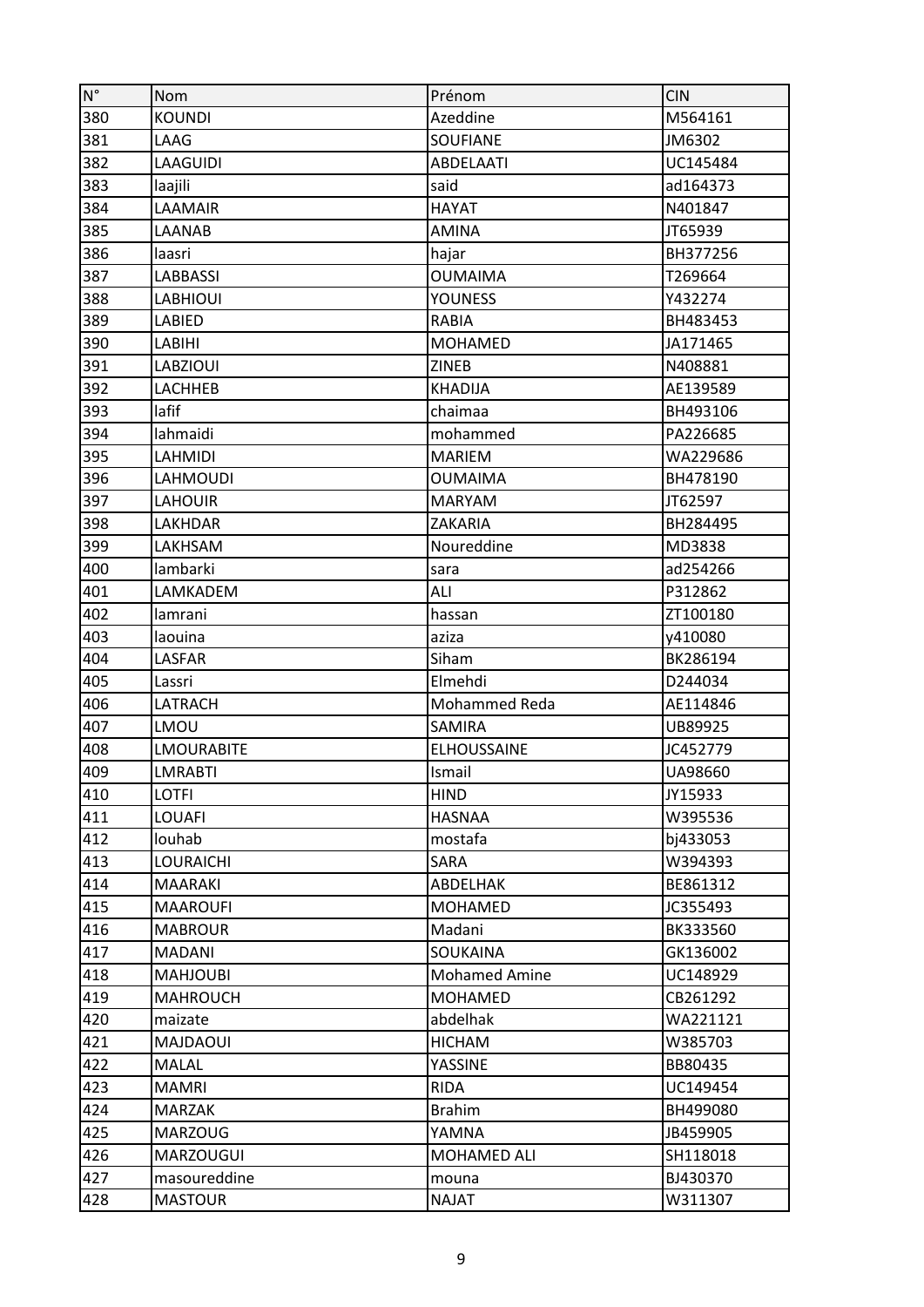| $\mathsf{N}^\circ$ | <b>Nom</b>        | Prénom               | <b>CIN</b> |
|--------------------|-------------------|----------------------|------------|
| 380                | <b>KOUNDI</b>     | Azeddine             | M564161    |
| 381                | LAAG              | <b>SOUFIANE</b>      | JM6302     |
| 382                | <b>LAAGUIDI</b>   | <b>ABDELAATI</b>     | UC145484   |
| 383                | laajili           | said                 | ad164373   |
| 384                | LAAMAIR           | <b>HAYAT</b>         | N401847    |
| 385                | LAANAB            | <b>AMINA</b>         | JT65939    |
| 386                | laasri            | hajar                | BH377256   |
| 387                | <b>LABBASSI</b>   | <b>OUMAIMA</b>       | T269664    |
| 388                | <b>LABHIOUI</b>   | <b>YOUNESS</b>       | Y432274    |
| 389                | LABIED            | RABIA                | BH483453   |
| 390                | LABIHI            | <b>MOHAMED</b>       | JA171465   |
| 391                | <b>LABZIOUI</b>   | <b>ZINEB</b>         | N408881    |
| 392                | <b>LACHHEB</b>    | <b>KHADIJA</b>       | AE139589   |
| 393                | lafif             | chaimaa              | BH493106   |
| 394                | lahmaidi          | mohammed             | PA226685   |
| 395                | <b>LAHMIDI</b>    | <b>MARIEM</b>        | WA229686   |
| 396                | <b>LAHMOUDI</b>   | <b>OUMAIMA</b>       | BH478190   |
| 397                | <b>LAHOUIR</b>    | <b>MARYAM</b>        | JT62597    |
| 398                | LAKHDAR           | ZAKARIA              | BH284495   |
| 399                | LAKHSAM           | Noureddine           | MD3838     |
| 400                | lambarki          | sara                 | ad254266   |
| 401                | LAMKADEM          | ALI                  | P312862    |
| 402                | lamrani           | hassan               | ZT100180   |
| 403                | laouina           | aziza                | y410080    |
| 404                | LASFAR            | Siham                | BK286194   |
| 405                | Lassri            | Elmehdi              | D244034    |
| 406                | LATRACH           | Mohammed Reda        | AE114846   |
| 407                | LMOU              | SAMIRA               | UB89925    |
| 408                | <b>LMOURABITE</b> | <b>ELHOUSSAINE</b>   | JC452779   |
| 409                | <b>LMRABTI</b>    | Ismail               | UA98660    |
| 410                | <b>LOTFI</b>      | <b>HIND</b>          | JY15933    |
| 411                | LOUAFI            | <b>HASNAA</b>        | W395536    |
| 412                | louhab            | mostafa              | bj433053   |
| 413                | <b>LOURAICHI</b>  | SARA                 | W394393    |
| 414                | <b>MAARAKI</b>    | ABDELHAK             | BE861312   |
| 415                | <b>MAAROUFI</b>   | <b>MOHAMED</b>       | JC355493   |
| 416                | <b>MABROUR</b>    | Madani               | BK333560   |
| 417                | <b>MADANI</b>     | <b>SOUKAINA</b>      | GK136002   |
| 418                | <b>MAHJOUBI</b>   | <b>Mohamed Amine</b> | UC148929   |
| 419                | <b>MAHROUCH</b>   | <b>MOHAMED</b>       | CB261292   |
| 420                | maizate           | abdelhak             | WA221121   |
| 421                | <b>MAJDAOUI</b>   | <b>HICHAM</b>        | W385703    |
| 422                | <b>MALAL</b>      | YASSINE              | BB80435    |
| 423                | <b>MAMRI</b>      | <b>RIDA</b>          | UC149454   |
| 424                | MARZAK            | <b>Brahim</b>        | BH499080   |
| 425                | <b>MARZOUG</b>    | YAMNA                | JB459905   |
| 426                | <b>MARZOUGUI</b>  | MOHAMED ALI          | SH118018   |
| 427                | masoureddine      | mouna                | BJ430370   |
| 428                | <b>MASTOUR</b>    | <b>NAJAT</b>         | W311307    |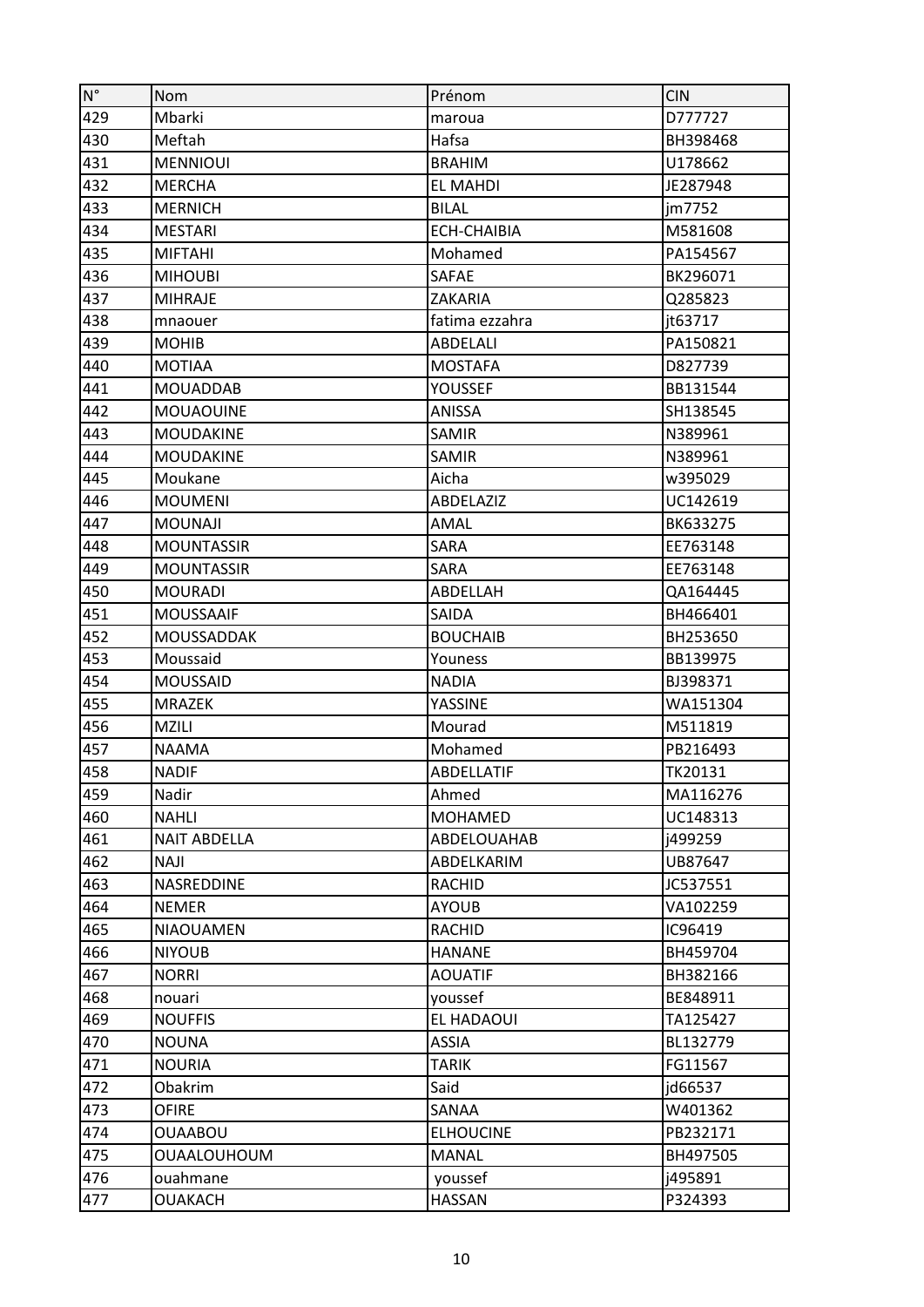| $N^{\circ}$ | Nom                 | Prénom             | <b>CIN</b>     |
|-------------|---------------------|--------------------|----------------|
| 429         | Mbarki              | maroua             | D777727        |
| 430         | Meftah              | Hafsa              | BH398468       |
| 431         | <b>MENNIOUI</b>     | <b>BRAHIM</b>      | U178662        |
| 432         | <b>MERCHA</b>       | <b>EL MAHDI</b>    | JE287948       |
| 433         | <b>MERNICH</b>      | <b>BILAL</b>       | jm7752         |
| 434         | <b>MESTARI</b>      | <b>ECH-CHAIBIA</b> | M581608        |
| 435         | <b>MIFTAHI</b>      | Mohamed            | PA154567       |
| 436         | <b>MIHOUBI</b>      | <b>SAFAE</b>       | BK296071       |
| 437         | <b>MIHRAJE</b>      | <b>ZAKARIA</b>     | Q285823        |
| 438         | mnaouer             | fatima ezzahra     | jt63717        |
| 439         | <b>MOHIB</b>        | ABDELALI           | PA150821       |
| 440         | <b>MOTIAA</b>       | <b>MOSTAFA</b>     | D827739        |
| 441         | <b>MOUADDAB</b>     | <b>YOUSSEF</b>     | BB131544       |
| 442         | <b>MOUAOUINE</b>    | ANISSA             | SH138545       |
| 443         | <b>MOUDAKINE</b>    | SAMIR              | N389961        |
| 444         | <b>MOUDAKINE</b>    | SAMIR              | N389961        |
| 445         | Moukane             | Aicha              | w395029        |
| 446         | <b>MOUMENI</b>      | ABDELAZIZ          | UC142619       |
| 447         | <b>MOUNAJI</b>      | AMAL               | BK633275       |
| 448         | <b>MOUNTASSIR</b>   | <b>SARA</b>        | EE763148       |
| 449         | <b>MOUNTASSIR</b>   | SARA               | EE763148       |
| 450         | <b>MOURADI</b>      | ABDELLAH           | QA164445       |
| 451         | <b>MOUSSAAIF</b>    | SAIDA              | BH466401       |
| 452         | <b>MOUSSADDAK</b>   | <b>BOUCHAIB</b>    | BH253650       |
| 453         | Moussaid            | Youness            | BB139975       |
| 454         | <b>MOUSSAID</b>     | <b>NADIA</b>       | BJ398371       |
| 455         | MRAZEK              | YASSINE            | WA151304       |
| 456         | <b>MZILI</b>        | Mourad             | M511819        |
| 457         | <b>NAAMA</b>        | Mohamed            | PB216493       |
| 458         | <b>NADIF</b>        | <b>ABDELLATIF</b>  | <b>TK20131</b> |
| 459         | Nadir               | Ahmed              | MA116276       |
| 460         | <b>NAHLI</b>        | <b>MOHAMED</b>     | UC148313       |
| 461         | <b>NAIT ABDELLA</b> | ABDELOUAHAB        | j499259        |
| 462         | <b>NAJI</b>         | ABDELKARIM         | UB87647        |
| 463         | NASREDDINE          | <b>RACHID</b>      | JC537551       |
| 464         | <b>NEMER</b>        | <b>AYOUB</b>       | VA102259       |
| 465         | <b>NIAOUAMEN</b>    | <b>RACHID</b>      | IC96419        |
| 466         | <b>NIYOUB</b>       | <b>HANANE</b>      | BH459704       |
| 467         | <b>NORRI</b>        | <b>AOUATIF</b>     | BH382166       |
| 468         | nouari              | youssef            | BE848911       |
| 469         | <b>NOUFFIS</b>      | EL HADAOUI         | TA125427       |
| 470         | <b>NOUNA</b>        | <b>ASSIA</b>       | BL132779       |
| 471         | <b>NOURIA</b>       | <b>TARIK</b>       | FG11567        |
| 472         | Obakrim             | Said               | jd66537        |
| 473         | <b>OFIRE</b>        | SANAA              | W401362        |
| 474         | <b>OUAABOU</b>      | <b>ELHOUCINE</b>   | PB232171       |
| 475         | <b>OUAALOUHOUM</b>  | <b>MANAL</b>       | BH497505       |
| 476         | ouahmane            | youssef            | j495891        |
| 477         | OUAKACH             | <b>HASSAN</b>      | P324393        |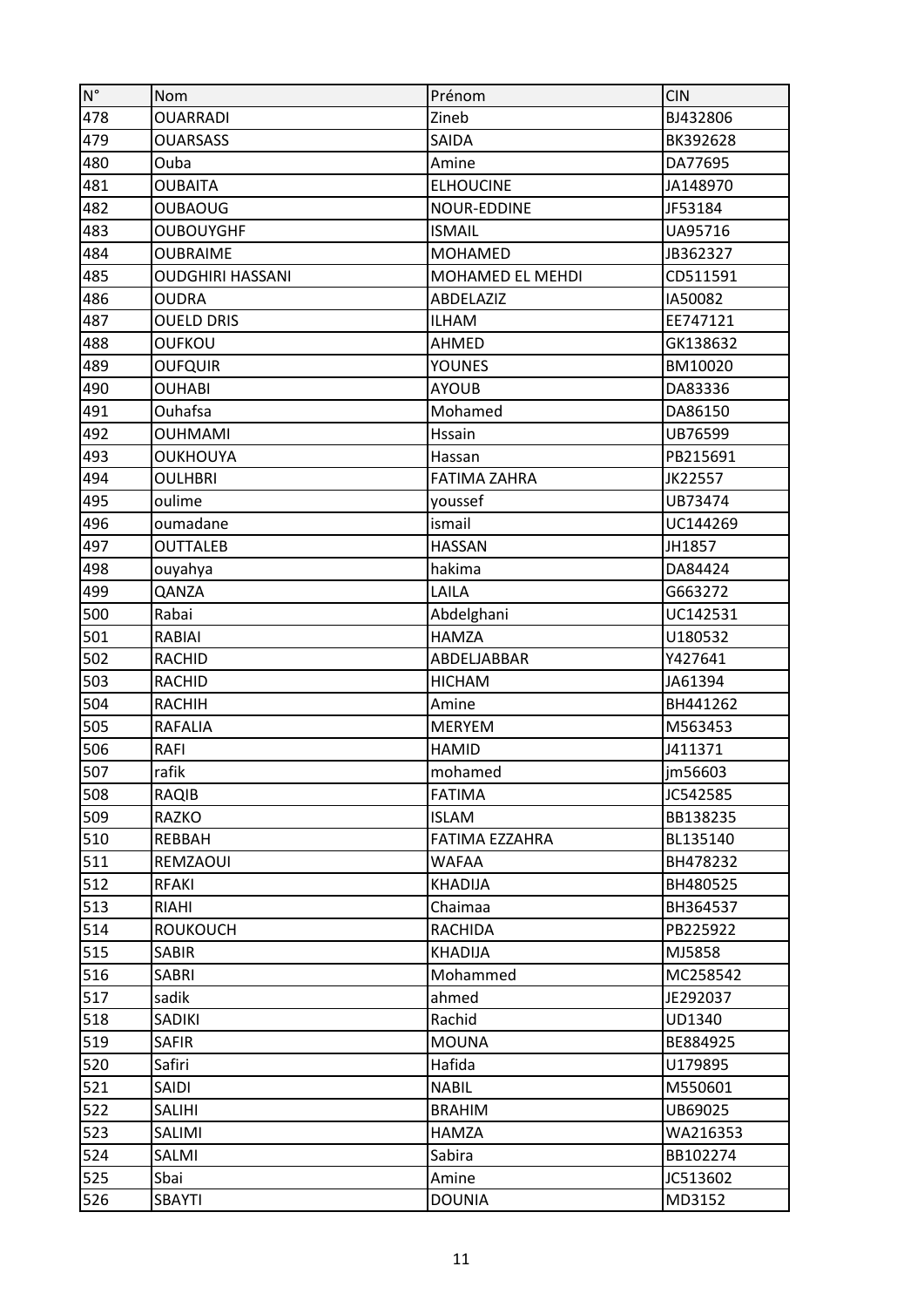| $\mathsf{N}^\circ$ | Nom                     | Prénom                | <b>CIN</b> |
|--------------------|-------------------------|-----------------------|------------|
| 478                | <b>OUARRADI</b>         | Zineb                 | BJ432806   |
| 479                | <b>OUARSASS</b>         | SAIDA                 | BK392628   |
| 480                | Ouba                    | Amine                 | DA77695    |
| 481                | <b>OUBAITA</b>          | <b>ELHOUCINE</b>      | JA148970   |
| 482                | <b>OUBAOUG</b>          | NOUR-EDDINE           | JF53184    |
| 483                | <b>OUBOUYGHF</b>        | <b>ISMAIL</b>         | UA95716    |
| 484                | <b>OUBRAIME</b>         | <b>MOHAMED</b>        | JB362327   |
| 485                | <b>OUDGHIRI HASSANI</b> | MOHAMED EL MEHDI      | CD511591   |
| 486                | <b>OUDRA</b>            | ABDELAZIZ             | IA50082    |
| 487                | <b>OUELD DRIS</b>       | <b>ILHAM</b>          | EE747121   |
| 488                | <b>OUFKOU</b>           | <b>AHMED</b>          | GK138632   |
| 489                | <b>OUFQUIR</b>          | YOUNES                | BM10020    |
| 490                | <b>OUHABI</b>           | <b>AYOUB</b>          | DA83336    |
| 491                | Ouhafsa                 | Mohamed               | DA86150    |
| 492                | <b>OUHMAMI</b>          | Hssain                | UB76599    |
| 493                | <b>OUKHOUYA</b>         | Hassan                | PB215691   |
| 494                | <b>OULHBRI</b>          | <b>FATIMA ZAHRA</b>   | JK22557    |
| 495                | oulime                  | youssef               | UB73474    |
| 496                | oumadane                | ismail                | UC144269   |
| 497                | <b>OUTTALEB</b>         | <b>HASSAN</b>         | JH1857     |
| 498                | ouyahya                 | hakima                | DA84424    |
| 499                | QANZA                   | LAILA                 | G663272    |
| 500                | Rabai                   | Abdelghani            | UC142531   |
| 501                | RABIAI                  | <b>HAMZA</b>          | U180532    |
| 502                | <b>RACHID</b>           | ABDELJABBAR           | Y427641    |
| 503                | <b>RACHID</b>           | <b>HICHAM</b>         | JA61394    |
| 504                | <b>RACHIH</b>           | Amine                 | BH441262   |
| 505                | <b>RAFALIA</b>          | <b>MERYEM</b>         | M563453    |
| 506                | <b>RAFI</b>             | <b>HAMID</b>          | J411371    |
| 507                | rafik                   | mohamed               | im56603    |
| 508                | RAQIB                   | <b>FATIMA</b>         | JC542585   |
| 509                | RAZKO                   | <b>ISLAM</b>          | BB138235   |
| 510                | REBBAH                  | <b>FATIMA EZZAHRA</b> | BL135140   |
| 511                | REMZAOUI                | <b>WAFAA</b>          | BH478232   |
| 512                | <b>RFAKI</b>            | <b>KHADIJA</b>        | BH480525   |
| 513                | <b>RIAHI</b>            | Chaimaa               | BH364537   |
| 514                | <b>ROUKOUCH</b>         | <b>RACHIDA</b>        | PB225922   |
| 515                | <b>SABIR</b>            | <b>KHADIJA</b>        | MJ5858     |
| 516                | SABRI                   | Mohammed              | MC258542   |
| 517                | sadik                   | ahmed                 | JE292037   |
| 518                | SADIKI                  | Rachid                | UD1340     |
| 519                | <b>SAFIR</b>            | <b>MOUNA</b>          | BE884925   |
| 520                | Safiri                  | Hafida                | U179895    |
| 521                | SAIDI                   | <b>NABIL</b>          | M550601    |
| 522                | SALIHI                  | <b>BRAHIM</b>         | UB69025    |
| 523                | SALIMI                  | <b>HAMZA</b>          | WA216353   |
| 524                | SALMI                   | Sabira                | BB102274   |
| 525                | Sbai                    | Amine                 | JC513602   |
| 526                | SBAYTI                  | <b>DOUNIA</b>         | MD3152     |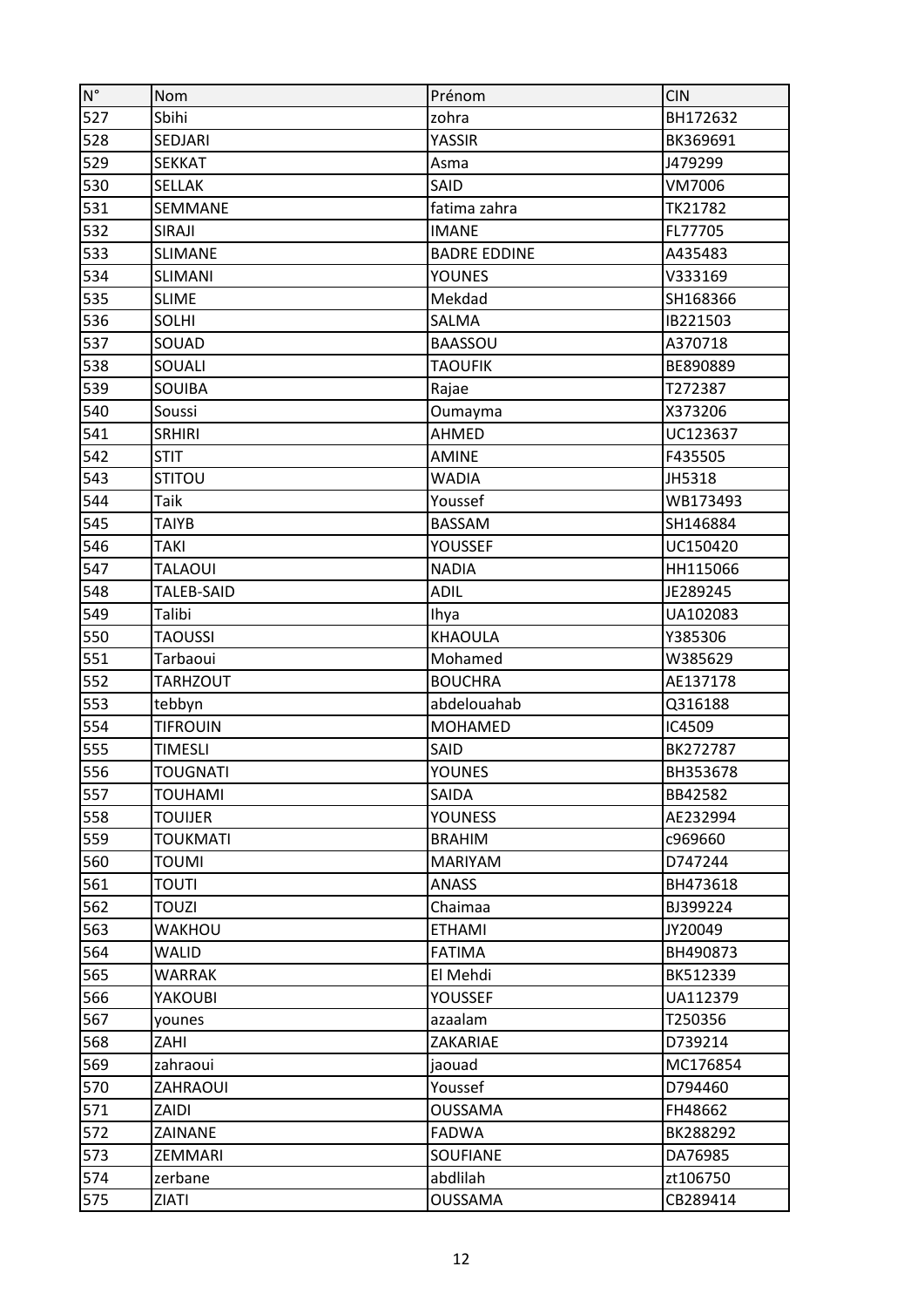| $\mathsf{N}^\circ$ | Nom               | Prénom              | <b>CIN</b> |
|--------------------|-------------------|---------------------|------------|
| 527                | Sbihi             | zohra               | BH172632   |
| 528                | SEDJARI           | YASSIR              | BK369691   |
| 529                | <b>SEKKAT</b>     | Asma                | J479299    |
| 530                | <b>SELLAK</b>     | SAID                | VM7006     |
| 531                | SEMMANE           | fatima zahra        | TK21782    |
| 532                | <b>SIRAJI</b>     | <b>IMANE</b>        | FL77705    |
| 533                | <b>SLIMANE</b>    | <b>BADRE EDDINE</b> | A435483    |
| 534                | <b>SLIMANI</b>    | <b>YOUNES</b>       | V333169    |
| 535                | <b>SLIME</b>      | Mekdad              | SH168366   |
| 536                | SOLHI             | SALMA               | IB221503   |
| 537                | SOUAD             | <b>BAASSOU</b>      | A370718    |
| 538                | SOUALI            | <b>TAOUFIK</b>      | BE890889   |
| 539                | SOUIBA            | Rajae               | T272387    |
| 540                | Soussi            | Oumayma             | X373206    |
| 541                | <b>SRHIRI</b>     | AHMED               | UC123637   |
| 542                | <b>STIT</b>       | <b>AMINE</b>        | F435505    |
| 543                | <b>STITOU</b>     | <b>WADIA</b>        | JH5318     |
| 544                | Taik              | Youssef             | WB173493   |
| 545                | TAIYB             | <b>BASSAM</b>       | SH146884   |
| 546                | <b>TAKI</b>       | <b>YOUSSEF</b>      | UC150420   |
| 547                | <b>TALAOUI</b>    | <b>NADIA</b>        | HH115066   |
| 548                | <b>TALEB-SAID</b> | <b>ADIL</b>         | JE289245   |
| 549                | Talibi            | Ihya                | UA102083   |
| 550                | <b>TAOUSSI</b>    | <b>KHAOULA</b>      | Y385306    |
| 551                | Tarbaoui          | Mohamed             | W385629    |
| 552                | <b>TARHZOUT</b>   | <b>BOUCHRA</b>      | AE137178   |
| 553                | tebbyn            | abdelouahab         | Q316188    |
| 554                | <b>TIFROUIN</b>   | <b>MOHAMED</b>      | IC4509     |
| 555                | <b>TIMESLI</b>    | SAID                | BK272787   |
| 556                | <b>TOUGNATI</b>   | <b>YOUNES</b>       | BH353678   |
| 557                | <b>TOUHAMI</b>    | <b>SAIDA</b>        | BB42582    |
| 558                | <b>TOUIJER</b>    | <b>YOUNESS</b>      | AE232994   |
| 559                | <b>TOUKMATI</b>   | <b>BRAHIM</b>       | c969660    |
| 560                | <b>TOUMI</b>      | <b>MARIYAM</b>      | D747244    |
| 561                | TOUTI             | <b>ANASS</b>        | BH473618   |
| 562                | <b>TOUZI</b>      | Chaimaa             | BJ399224   |
| 563                | WAKHOU            | <b>ETHAMI</b>       | JY20049    |
| 564                | WALID             | <b>FATIMA</b>       | BH490873   |
| 565                | WARRAK            | El Mehdi            | BK512339   |
| 566                | YAKOUBI           | <b>YOUSSEF</b>      | UA112379   |
| 567                | younes            | azaalam             | T250356    |
| 568                | ZAHI              | ZAKARIAE            | D739214    |
| 569                | zahraoui          | jaouad              | MC176854   |
| 570                | ZAHRAOUI          | Youssef             | D794460    |
| 571                | ZAIDI             | <b>OUSSAMA</b>      | FH48662    |
| 572                | ZAINANE           | <b>FADWA</b>        | BK288292   |
| 573                | ZEMMARI           | <b>SOUFIANE</b>     | DA76985    |
| 574                | zerbane           | abdlilah            | zt106750   |
| 575                | ZIATI             | <b>OUSSAMA</b>      | CB289414   |